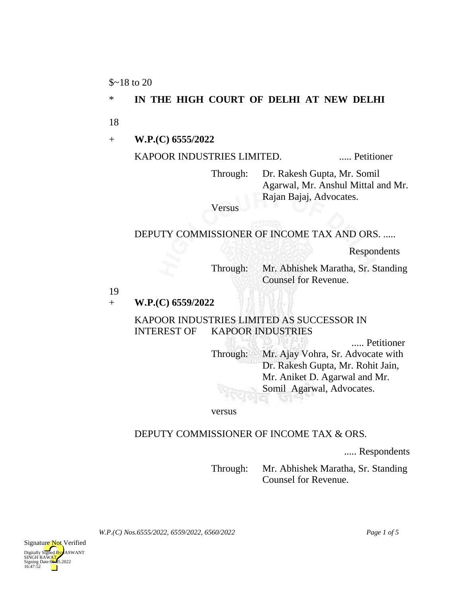$$~18$$  to 20

# \* **IN THE HIGH COURT OF DELHI AT NEW DELHI**

18

+ **W.P.(C) 6555/2022**

KAPOOR INDUSTRIES LIMITED. ...... Petitioner

Through: Dr. Rakesh Gupta, Mr. Somil Agarwal, Mr. Anshul Mittal and Mr. Rajan Bajaj, Advocates.

Versus

### DEPUTY COMMISSIONER OF INCOME TAX AND ORS. .....

TRIPAL

Respondents

Through: Mr. Abhishek Maratha, Sr. Standing Counsel for Revenue.

19

#### + **W.P.(C) 6559/2022**

### KAPOOR INDUSTRIES LIMITED AS SUCCESSOR IN INTEREST OF KAPOOR INDUSTRIES

..... Petitioner Through: Mr. Ajay Vohra, Sr. Advocate with Dr. Rakesh Gupta, Mr. Rohit Jain, Mr. Aniket D. Agarwal and Mr. Somil Agarwal, Advocates. wi.

versus

#### DEPUTY COMMISSIONER OF INCOME TAX & ORS.

..... Respondents

Through: Mr. Abhishek Maratha, Sr. Standing Counsel for Revenue.

*W.P.(C) Nos.6555/2022, 6559/2022, 6560/2022 Page 1 of 5*

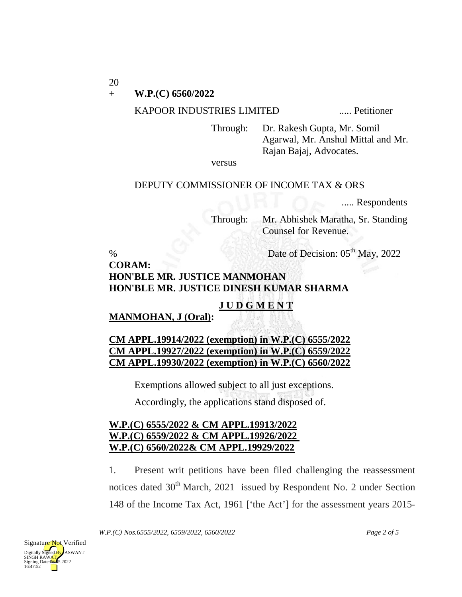20

#### + **W.P.(C) 6560/2022**

#### KAPOOR INDUSTRIES LIMITED ..... Petitioner

Through: Dr. Rakesh Gupta, Mr. Somil Agarwal, Mr. Anshul Mittal and Mr. Rajan Bajaj, Advocates.

versus

#### DEPUTY COMMISSIONER OF INCOME TAX & ORS

..... Respondents

Through: Mr. Abhishek Maratha, Sr. Standing Counsel for Revenue.

% Date of Decision:  $05<sup>th</sup>$  May, 2022

# **CORAM: HON'BLE MR. JUSTICE MANMOHAN HON'BLE MR. JUSTICE DINESH KUMAR SHARMA**

### **J U D G M E N T**

### **MANMOHAN, J (Oral):**

# **CM APPL.19914/2022 (exemption) in W.P.(C) 6555/2022 CM APPL.19927/2022 (exemption) in W.P.(C) 6559/2022 CM APPL.19930/2022 (exemption) in W.P.(C) 6560/2022**

Exemptions allowed subject to all just exceptions.

Accordingly, the applications stand disposed of.

### **W.P.(C) 6555/2022 & CM APPL.19913/2022 W.P.(C) 6559/2022 & CM APPL.19926/2022 W.P.(C) 6560/2022& CM APPL.19929/2022**

1. Present writ petitions have been filed challenging the reassessment notices dated 30<sup>th</sup> March, 2021 issued by Respondent No. 2 under Section 148 of the Income Tax Act, 1961 ['the Act'] for the assessment years 2015-

*W.P.(C) Nos.6555/2022, 6559/2022, 6560/2022 Page 2 of 5*

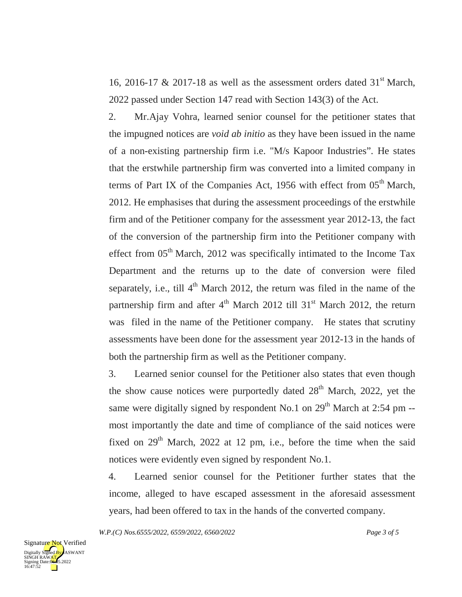16, 2016-17 & 2017-18 as well as the assessment orders dated  $31<sup>st</sup>$  March, 2022 passed under Section 147 read with Section 143(3) of the Act.

2. Mr.Ajay Vohra, learned senior counsel for the petitioner states that the impugned notices are *void ab initio* as they have been issued in the name of a non-existing partnership firm i.e. "M/s Kapoor Industries". He states that the erstwhile partnership firm was converted into a limited company in terms of Part IX of the Companies Act, 1956 with effect from  $05<sup>th</sup>$  March, 2012. He emphasises that during the assessment proceedings of the erstwhile firm and of the Petitioner company for the assessment year 2012-13, the fact of the conversion of the partnership firm into the Petitioner company with effect from  $05<sup>th</sup>$  March, 2012 was specifically intimated to the Income Tax Department and the returns up to the date of conversion were filed separately, i.e., till  $4<sup>th</sup>$  March 2012, the return was filed in the name of the partnership firm and after  $4<sup>th</sup>$  March 2012 till 31<sup>st</sup> March 2012, the return was filed in the name of the Petitioner company. He states that scrutiny assessments have been done for the assessment year 2012-13 in the hands of both the partnership firm as well as the Petitioner company.

3. Learned senior counsel for the Petitioner also states that even though the show cause notices were purportedly dated  $28<sup>th</sup>$  March, 2022, yet the same were digitally signed by respondent No.1 on  $29<sup>th</sup>$  March at 2:54 pm -most importantly the date and time of compliance of the said notices were fixed on  $29<sup>th</sup>$  March,  $2022$  at 12 pm, i.e., before the time when the said notices were evidently even signed by respondent No.1.

4. Learned senior counsel for the Petitioner further states that the income, alleged to have escaped assessment in the aforesaid assessment years, had been offered to tax in the hands of the converted company.

*W.P.(C) Nos.6555/2022, 6559/2022, 6560/2022 Page 3 of 5*

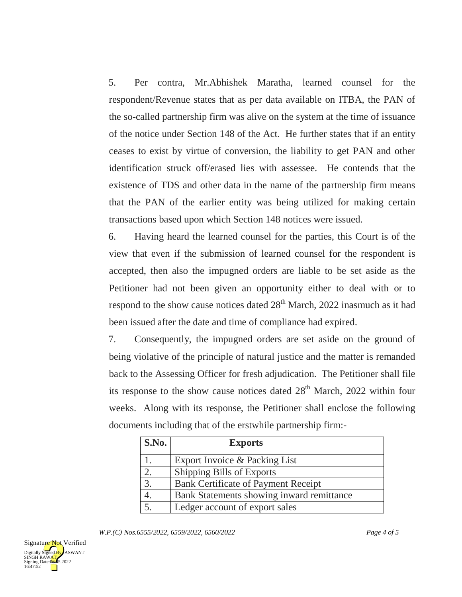5. Per contra, Mr.Abhishek Maratha, learned counsel for the respondent/Revenue states that as per data available on ITBA, the PAN of the so-called partnership firm was alive on the system at the time of issuance of the notice under Section 148 of the Act. He further states that if an entity ceases to exist by virtue of conversion, the liability to get PAN and other identification struck off/erased lies with assessee. He contends that the existence of TDS and other data in the name of the partnership firm means that the PAN of the earlier entity was being utilized for making certain transactions based upon which Section 148 notices were issued.

6. Having heard the learned counsel for the parties, this Court is of the view that even if the submission of learned counsel for the respondent is accepted, then also the impugned orders are liable to be set aside as the Petitioner had not been given an opportunity either to deal with or to respond to the show cause notices dated  $28<sup>th</sup>$  March, 2022 inasmuch as it had been issued after the date and time of compliance had expired.

7. Consequently, the impugned orders are set aside on the ground of being violative of the principle of natural justice and the matter is remanded back to the Assessing Officer for fresh adjudication. The Petitioner shall file its response to the show cause notices dated  $28<sup>th</sup>$  March, 2022 within four weeks. Along with its response, the Petitioner shall enclose the following documents including that of the erstwhile partnership firm:-

| S.No. | <b>Exports</b>                             |
|-------|--------------------------------------------|
|       | Export Invoice & Packing List              |
|       | Shipping Bills of Exports                  |
| 3.    | <b>Bank Certificate of Payment Receipt</b> |
|       | Bank Statements showing inward remittance  |
|       | Ledger account of export sales             |

*W.P.(C) Nos.6555/2022, 6559/2022, 6560/2022 Page 4 of 5*